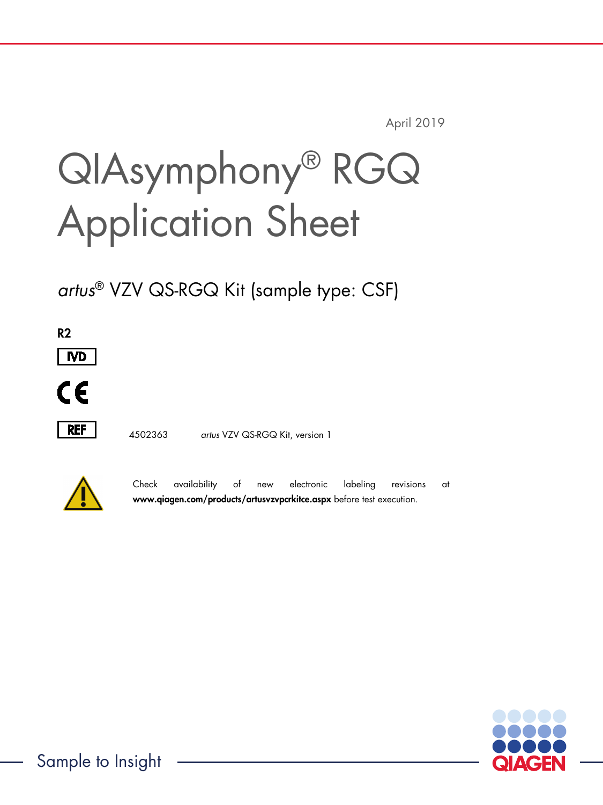April 2019

# QIAsymphony® RGQ Application Sheet

*artus*® VZV QS-RGQ Kit (sample type: CSF)

R2



 $\epsilon$ 



4502363 *artus* VZV QS-RGQ Kit, version 1



Check availability of new electronic labeling revisions at www.qiagen.com/products/artusvzvpcrkitce.aspx before test execution.

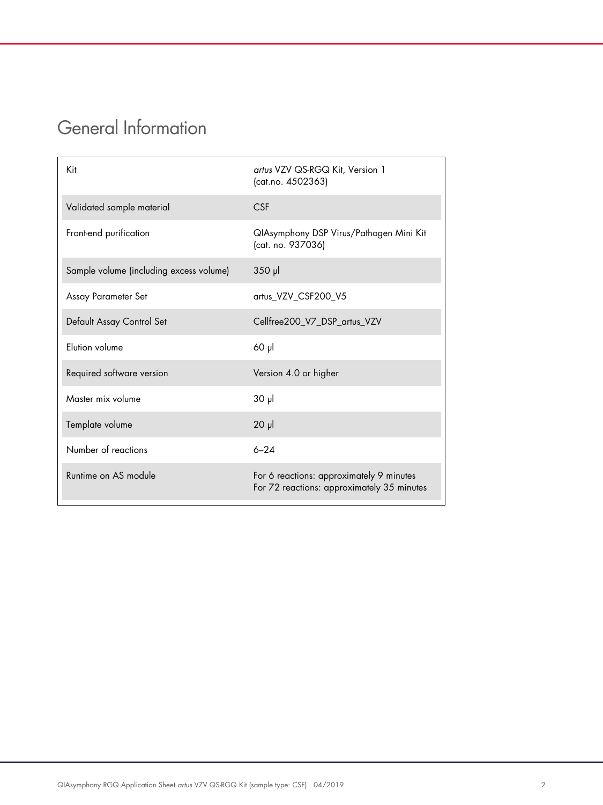## General Information

| Kit                                     | artus VZV QS-RGQ Kit, Version 1<br>(cat.no. 4502363)                                   |
|-----------------------------------------|----------------------------------------------------------------------------------------|
| Validated sample material               | <b>CSF</b>                                                                             |
| Front-end purification                  | QIAsymphony DSP Virus/Pathogen Mini Kit<br>(cat. no. 937036)                           |
| Sample volume (including excess volume) | $350$ pl                                                                               |
| Assay Parameter Set                     | artus_VZV_CSF200_V5                                                                    |
| Default Assay Control Set               | Cellfree200_V7_DSP_artus_VZV                                                           |
| Elution volume                          | $60$ $\mu$                                                                             |
| Required software version               | Version 4.0 or higher                                                                  |
| Master mix volume                       | $30 \mu$                                                                               |
| Template volume                         | $20$ $\mu$                                                                             |
| Number of reactions                     | $6 - 24$                                                                               |
| Runtime on AS module                    | For 6 reactions: approximately 9 minutes<br>For 72 reactions: approximately 35 minutes |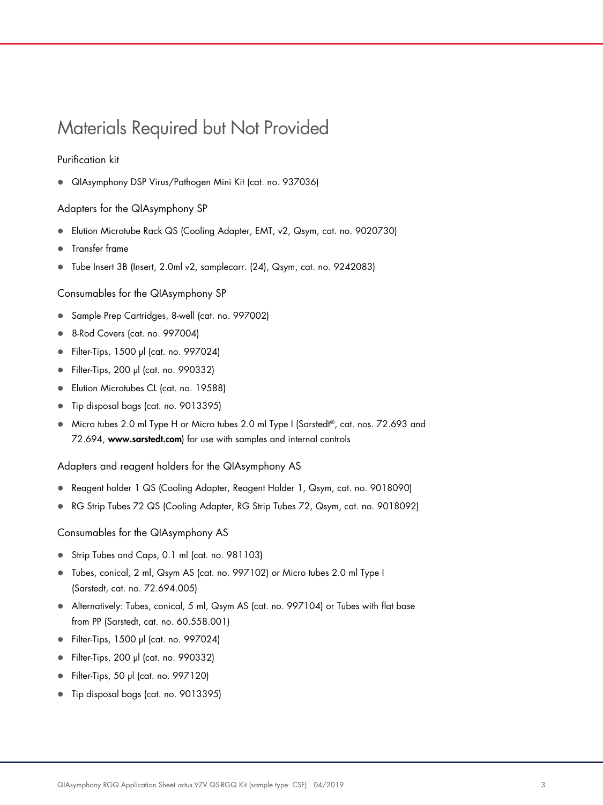## Materials Required but Not Provided

#### Purification kit

QIAsymphony DSP Virus/Pathogen Mini Kit (cat. no. 937036)

#### Adapters for the QIAsymphony SP

- Elution Microtube Rack QS (Cooling Adapter, EMT, v2, Qsym, cat. no. 9020730)
- **•** Transfer frame
- Tube Insert 3B (Insert, 2.0ml v2, samplecarr. (24), Qsym, cat. no. 9242083)

Consumables for the QIAsymphony SP

- Sample Prep Cartridges, 8-well (cat. no. 997002)
- 8-Rod Covers (cat. no. 997004)
- Filter-Tips, 1500 µl (cat. no. 997024)
- Filter-Tips, 200 µl (cat. no. 990332)
- **Elution Microtubes CL (cat. no. 19588)**
- Tip disposal bags (cat. no. 9013395)
- Micro tubes 2.0 ml Type H or Micro tubes 2.0 ml Type I (Sarstedt®, cat. nos. 72.693 and 72.694, www.sarstedt.com) for use with samples and internal controls

Adapters and reagent holders for the QIAsymphony AS

- Reagent holder 1 QS (Cooling Adapter, Reagent Holder 1, Qsym, cat. no. 9018090)
- RG Strip Tubes 72 QS (Cooling Adapter, RG Strip Tubes 72, Qsym, cat. no. 9018092)

Consumables for the QIAsymphony AS

- Strip Tubes and Caps, 0.1 ml (cat. no. 981103)
- Tubes, conical, 2 ml, Qsym AS (cat. no. 997102) or Micro tubes 2.0 ml Type I (Sarstedt, cat. no. 72.694.005)
- Alternatively: Tubes, conical, 5 ml, Qsym AS (cat. no. 997104) or Tubes with flat base from PP (Sarstedt, cat. no. 60.558.001)
- Filter-Tips, 1500 µl (cat. no. 997024)
- Filter-Tips, 200 µl (cat. no. 990332)
- Filter-Tips, 50 µl (cat. no. 997120)
- Tip disposal bags (cat. no. 9013395)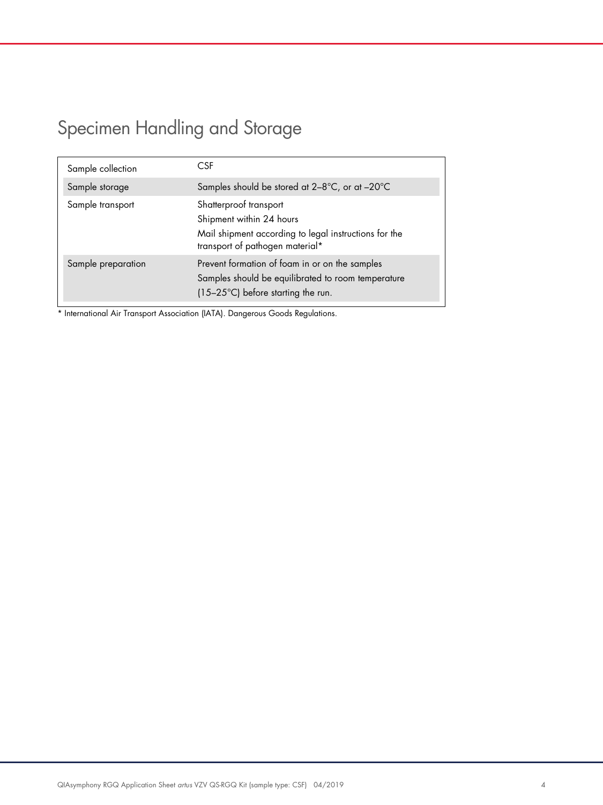# Specimen Handling and Storage

| Sample collection  | CSF                                                                                                                                            |
|--------------------|------------------------------------------------------------------------------------------------------------------------------------------------|
| Sample storage     | Samples should be stored at $2-8^{\circ}C$ , or at $-20^{\circ}C$                                                                              |
| Sample transport   | Shatterproof transport<br>Shipment within 24 hours<br>Mail shipment according to legal instructions for the<br>transport of pathogen material* |
| Sample preparation | Prevent formation of foam in or on the samples<br>Samples should be equilibrated to room temperature<br>(15-25°C) before starting the run.     |

\* International Air Transport Association (IATA). Dangerous Goods Regulations.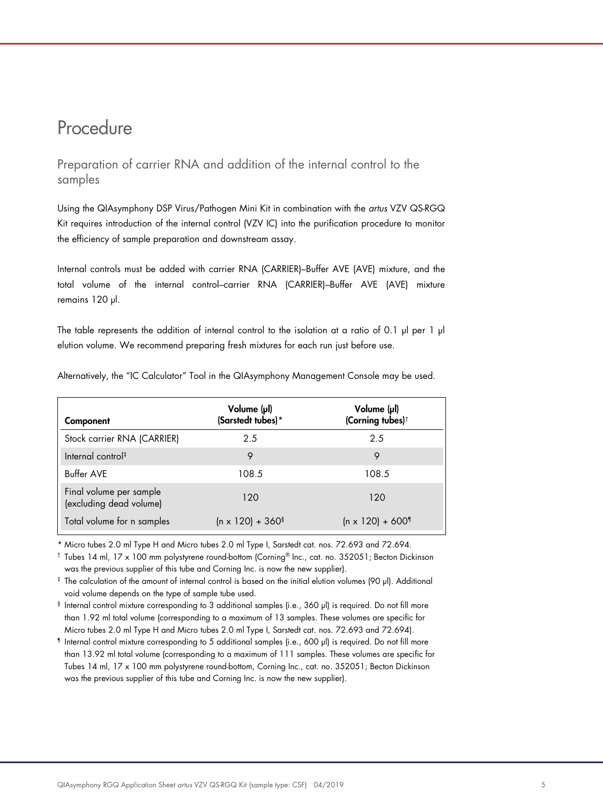### Procedure

Preparation of carrier RNA and addition of the internal control to the samples

Using the QIAsymphony DSP Virus/Pathogen Mini Kit in combination with the *artus* VZV QS-RGQ Kit requires introduction of the internal control (VZV IC) into the purification procedure to monitor the efficiency of sample preparation and downstream assay.

Internal controls must be added with carrier RNA (CARRIER)–Buffer AVE (AVE) mixture, and the total volume of the internal control–carrier RNA (CARRIER)–Buffer AVE (AVE) mixture remains 120 µl.

The table represents the addition of internal control to the isolation at a ratio of 0.1  $\mu$  per 1  $\mu$ elution volume. We recommend preparing fresh mixtures for each run just before use.

| Component                                          | Volume (µl)<br>(Sarstedt tubes)*    | Volume (µl)<br>(Corning tubes) <sup>†</sup> |
|----------------------------------------------------|-------------------------------------|---------------------------------------------|
| Stock carrier RNA (CARRIER)                        | 2.5                                 | 2.5                                         |
| Internal control <sup>#</sup>                      | 9                                   |                                             |
| <b>Buffer AVE</b>                                  | 108.5                               | 108.5                                       |
| Final volume per sample<br>(excluding dead volume) | 120                                 | 120                                         |
| Total volume for n samples                         | $(n \times 120) + 360$ <sup>§</sup> | $(n \times 120) + 600$                      |

Alternatively, the "IC Calculator" Tool in the QIAsymphony Management Console may be used.

\* Micro tubes 2.0 ml Type H and Micro tubes 2.0 ml Type I, Sarstedt cat. nos. 72.693 and 72.694.

† Tubes 14 ml, 17 x 100 mm polystyrene round-bottom (Corning® Inc., cat. no. 352051; Becton Dickinson was the previous supplier of this tube and Corning Inc. is now the new supplier).

‡ The calculation of the amount of internal control is based on the initial elution volumes (90 µl). Additional void volume depends on the type of sample tube used.

§ Internal control mixture corresponding to 3 additional samples (i.e., 360 µl) is required. Do not fill more than 1.92 ml total volume (corresponding to a maximum of 13 samples. These volumes are specific for Micro tubes 2.0 ml Type H and Micro tubes 2.0 ml Type I, Sarstedt cat. nos. 72.693 and 72.694).

¶ Internal control mixture corresponding to 5 additional samples (i.e., 600 µl) is required. Do not fill more than 13.92 ml total volume (corresponding to a maximum of 111 samples. These volumes are specific for Tubes 14 ml, 17 x 100 mm polystyrene round-bottom, Corning Inc., cat. no. 352051; Becton Dickinson was the previous supplier of this tube and Corning Inc. is now the new supplier).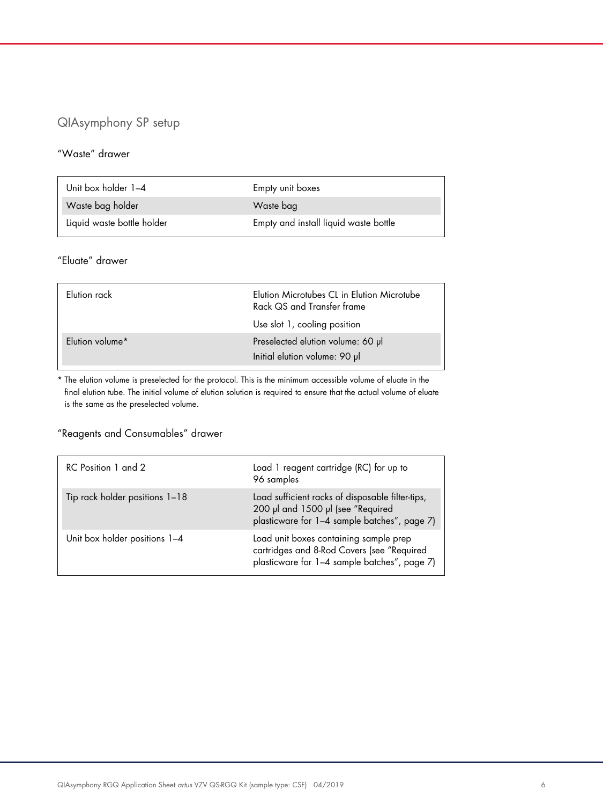#### QIAsymphony SP setup

#### "Waste" drawer

| Unit box holder 1-4        | Empty unit boxes                      |
|----------------------------|---------------------------------------|
| Waste bag holder           | Waste bag                             |
| Liquid waste bottle holder | Empty and install liquid waste bottle |

#### "Eluate" drawer

| Flution rack    | Elution Microtubes CL in Elution Microtube<br>Rack QS and Transfer frame<br>Use slot 1, cooling position |
|-----------------|----------------------------------------------------------------------------------------------------------|
| Elution volume* | Preselected elution volume: 60 µl<br>Initial elution volume: 90 µl                                       |

\* The elution volume is preselected for the protocol. This is the minimum accessible volume of eluate in the final elution tube. The initial volume of elution solution is required to ensure that the actual volume of eluate is the same as the preselected volume.

#### "Reagents and Consumables" drawer

| RC Position 1 and 2            | Load 1 reagent cartridge (RC) for up to<br>96 samples                                                                                 |
|--------------------------------|---------------------------------------------------------------------------------------------------------------------------------------|
| Tip rack holder positions 1-18 | Load sufficient racks of disposable filter-tips,<br>200 µl and 1500 µl (see "Required<br>plasticware for 1-4 sample batches", page 7) |
| Unit box holder positions 1-4  | Load unit boxes containing sample prep<br>cartridges and 8-Rod Covers (see "Required<br>plasticware for 1-4 sample batches", page 7)  |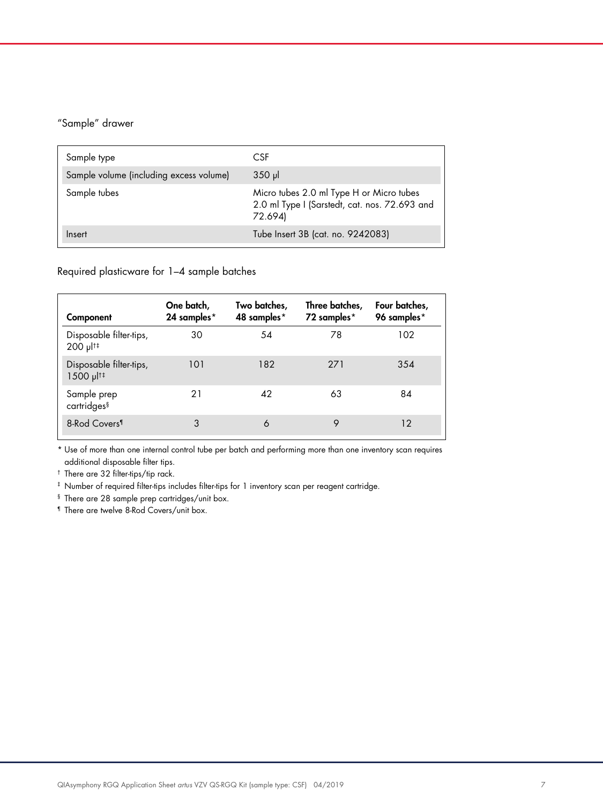#### "Sample" drawer

| Sample type                             | CSF.                                                                                                 |
|-----------------------------------------|------------------------------------------------------------------------------------------------------|
| Sample volume (including excess volume) | $350$ pl                                                                                             |
| Sample tubes                            | Micro tubes 2.0 ml Type H or Micro tubes<br>2.0 ml Type I (Sarstedt, cat. nos. 72.693 and<br>72.694) |
| Insert                                  | Tube Insert 3B (cat. no. 9242083)                                                                    |

Required plasticware for 1–4 sample batches

| Component                                           | One batch,<br>24 samples* | Two batches,<br>48 samples* | Three batches,<br>72 samples* | Four batches,<br>96 samples* |
|-----------------------------------------------------|---------------------------|-----------------------------|-------------------------------|------------------------------|
| Disposable filter-tips,<br>200 µl <sup>t‡</sup>     | 30                        | 54                          | 78                            | 102                          |
| Disposable filter-tips,<br>$1500 \mu$ <sup>1‡</sup> | 101                       | 182                         | 271                           | 354                          |
| Sample prep<br>cartridges <sup>§</sup>              | 21                        | 42                          | 63                            | 84                           |
| 8-Rod Covers <sup>1</sup>                           | 3                         | 6                           | 9                             | 12                           |

\* Use of more than one internal control tube per batch and performing more than one inventory scan requires additional disposable filter tips.

† There are 32 filter-tips/tip rack.

‡ Number of required filter-tips includes filter-tips for 1 inventory scan per reagent cartridge.

§ There are 28 sample prep cartridges/unit box.

¶ There are twelve 8-Rod Covers/unit box.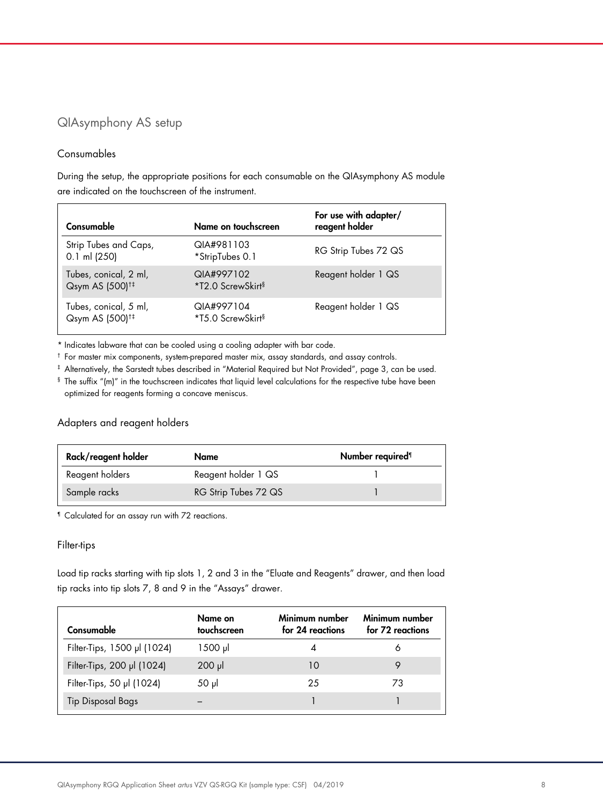#### QIAsymphony AS setup

#### Consumables

During the setup, the appropriate positions for each consumable on the QIAsymphony AS module are indicated on the touchscreen of the instrument.

| Consumable                                           | Name on touchscreen                         | For use with adapter/<br>reagent holder |
|------------------------------------------------------|---------------------------------------------|-----------------------------------------|
| Strip Tubes and Caps,<br>$0.1$ ml (250)              | QIA#981103<br>*StripTubes 0.1               | RG Strip Tubes 72 QS                    |
| Tubes, conical, 2 ml,<br>Qsym AS (500) <sup>†‡</sup> | QIA#997102<br>*T2.0 ScrewSkirt <sup>§</sup> | Reagent holder 1 QS                     |
| Tubes, conical, 5 ml,<br>Qsym AS (500) <sup>+‡</sup> | QIA#997104<br>*T5.0 ScrewSkirt <sup>§</sup> | Reagent holder 1 QS                     |

\* Indicates labware that can be cooled using a cooling adapter with bar code.

† For master mix components, system-prepared master mix, assay standards, and assay controls.

‡ Alternatively, the Sarstedt tubes described in "Material Required but Not Provided", page 3, can be used.

§ The suffix "(m)" in the touchscreen indicates that liquid level calculations for the respective tube have been optimized for reagents forming a concave meniscus.

#### Adapters and reagent holders

| Rack/reagent holder | Name                 | Number required <sup>1</sup> |
|---------------------|----------------------|------------------------------|
| Reagent holders     | Reagent holder 1 QS  |                              |
| Sample racks        | RG Strip Tubes 72 QS |                              |

¶ Calculated for an assay run with 72 reactions.

#### Filter-tips

Load tip racks starting with tip slots 1, 2 and 3 in the "Eluate and Reagents" drawer, and then load tip racks into tip slots 7, 8 and 9 in the "Assays" drawer.

| Consumable                  | Name on<br>touchscreen | Minimum number<br>for 24 reactions | Minimum number<br>for 72 reactions |
|-----------------------------|------------------------|------------------------------------|------------------------------------|
| Filter-Tips, 1500 µl (1024) | 1500 µl                |                                    | O                                  |
| Filter-Tips, 200 µl (1024)  | $200$ $\mu$            | 10                                 |                                    |
| Filter-Tips, 50 µl (1024)   | 50 µl                  | 25                                 | 73                                 |
| <b>Tip Disposal Bags</b>    |                        |                                    |                                    |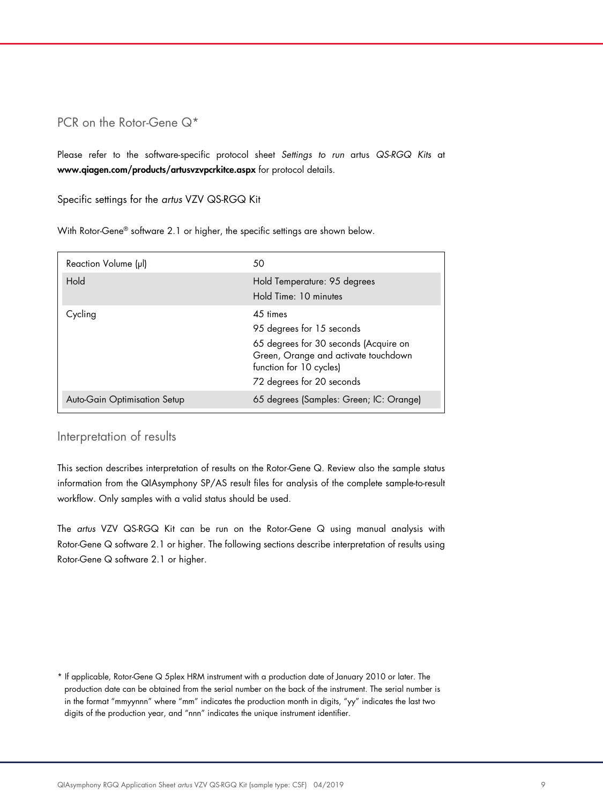#### PCR on the Rotor-Gene Q<sup>\*</sup>

Please refer to the software-specific protocol sheet *Settings to run* artus *QS-RGQ Kits* at www.qiagen.com/products/artusvzvpcrkitce.aspx for protocol details.

Specific settings for the *artus* VZV QS-RGQ Kit

With Rotor-Gene® software 2.1 or higher, the specific settings are shown below.

| Reaction Volume (µl)         | 50                                                                                                                                                                                |
|------------------------------|-----------------------------------------------------------------------------------------------------------------------------------------------------------------------------------|
| Hold                         | Hold Temperature: 95 degrees<br>Hold Time: 10 minutes                                                                                                                             |
| Cycling                      | $4.5$ times<br>95 degrees for 15 seconds<br>65 degrees for 30 seconds (Acquire on<br>Green, Orange and activate touchdown<br>function for 10 cycles)<br>72 degrees for 20 seconds |
| Auto-Gain Optimisation Setup | 65 degrees (Samples: Green; IC: Orange)                                                                                                                                           |

#### Interpretation of results

This section describes interpretation of results on the Rotor-Gene Q. Review also the sample status information from the QIAsymphony SP/AS result files for analysis of the complete sample-to-result workflow. Only samples with a valid status should be used.

The *artus* VZV QS-RGQ Kit can be run on the Rotor-Gene Q using manual analysis with Rotor-Gene Q software 2.1 or higher. The following sections describe interpretation of results using Rotor-Gene Q software 2.1 or higher.

\* If applicable, Rotor-Gene Q 5plex HRM instrument with a production date of January 2010 or later. The production date can be obtained from the serial number on the back of the instrument. The serial number is in the format "mmyynnn" where "mm" indicates the production month in digits, "yy" indicates the last two digits of the production year, and "nnn" indicates the unique instrument identifier.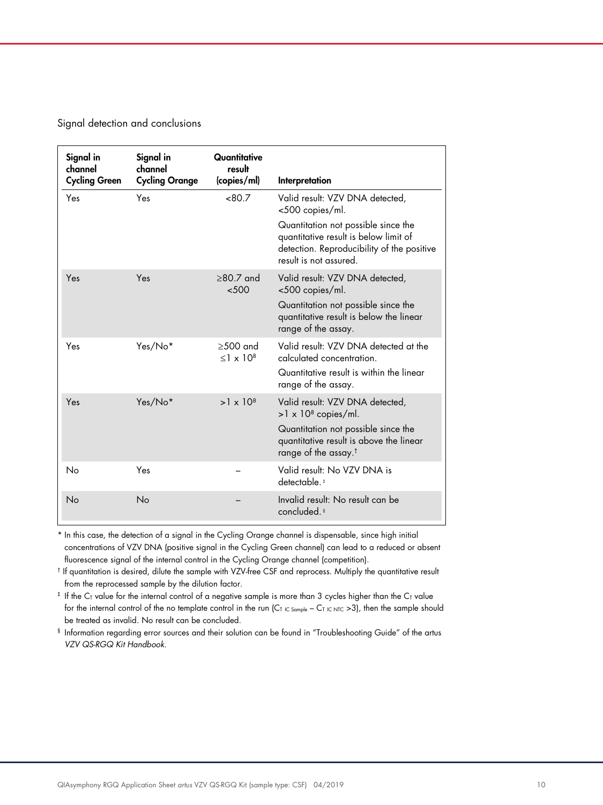Signal detection and conclusions

| Signal in<br>channel<br><b>Cycling Green</b> | Signal in<br>channel<br><b>Cycling Orange</b> | Quantitative<br>result<br>(copies/ml) | Interpretation                                                                                                                                       |
|----------------------------------------------|-----------------------------------------------|---------------------------------------|------------------------------------------------------------------------------------------------------------------------------------------------------|
| Yes                                          | Yes                                           | < 80.7                                | Valid result: VZV DNA detected,<br><500 copies/ml.                                                                                                   |
|                                              |                                               |                                       | Quantitation not possible since the<br>quantitative result is below limit of<br>detection. Reproducibility of the positive<br>result is not assured. |
| Yes                                          | Yes                                           | $\geq 80.7$ and<br>< 500              | Valid result: VZV DNA detected,<br><500 copies/ml.                                                                                                   |
|                                              |                                               |                                       | Quantitation not possible since the<br>quantitative result is below the linear<br>range of the assay.                                                |
| Yes                                          | Yes/No*                                       | $>500$ and<br>$<$ 1 x 10 <sup>8</sup> | Valid result: VZV DNA detected at the<br>calculated concentration.                                                                                   |
|                                              |                                               |                                       | Quantitative result is within the linear<br>range of the assay.                                                                                      |
| Yes                                          | Yes/No*                                       | $>1 \times 10^8$                      | Valid result: VZV DNA detected,<br>$>1 \times 10^8$ copies/ml.                                                                                       |
|                                              |                                               |                                       | Quantitation not possible since the<br>quantitative result is above the linear<br>range of the assay. <sup>†</sup>                                   |
| No                                           | Yes                                           |                                       | Valid result: No VZV DNA is<br>detectable. <sup>#</sup>                                                                                              |
| No                                           | No                                            |                                       | Invalid result: No result can be<br>concluded. <sup>§</sup>                                                                                          |

\* In this case, the detection of a signal in the Cycling Orange channel is dispensable, since high initial concentrations of VZV DNA (positive signal in the Cycling Green channel) can lead to a reduced or absent fluorescence signal of the internal control in the Cycling Orange channel (competition).

† If quantitation is desired, dilute the sample with VZV-free CSF and reprocess. Multiply the quantitative result from the reprocessed sample by the dilution factor.

 $*$  If the C<sub>T</sub> value for the internal control of a negative sample is more than 3 cycles higher than the C<sub>T</sub> value for the internal control of the no template control in the run (CT IC Sample – CT IC NTC >3), then the sample should be treated as invalid. No result can be concluded.

§ Information regarding error sources and their solution can be found in "Troubleshooting Guide" of the artus *VZV QS-RGQ Kit Handbook*.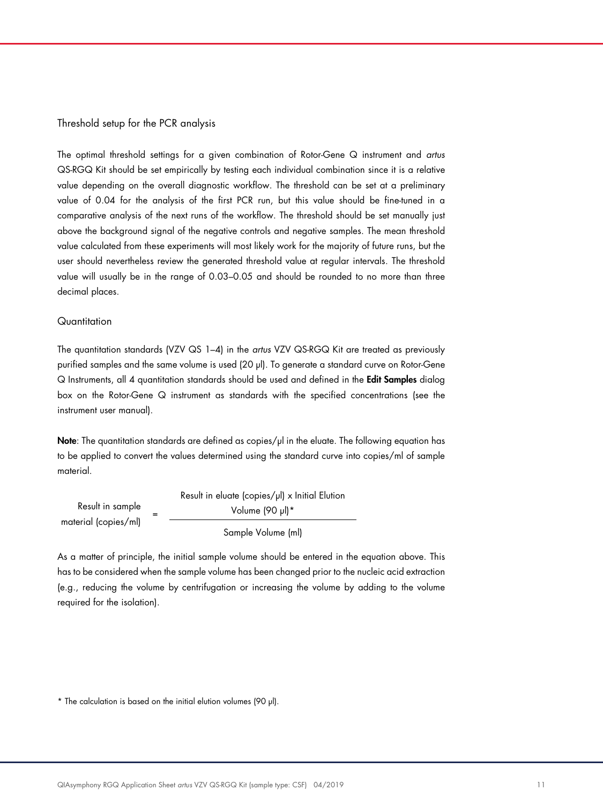#### Threshold setup for the PCR analysis

The optimal threshold settings for a given combination of Rotor-Gene Q instrument and *artus* QS-RGQ Kit should be set empirically by testing each individual combination since it is a relative value depending on the overall diagnostic workflow. The threshold can be set at a preliminary value of 0.04 for the analysis of the first PCR run, but this value should be fine-tuned in a comparative analysis of the next runs of the workflow. The threshold should be set manually just above the background signal of the negative controls and negative samples. The mean threshold value calculated from these experiments will most likely work for the majority of future runs, but the user should nevertheless review the generated threshold value at regular intervals. The threshold value will usually be in the range of 0.03–0.05 and should be rounded to no more than three decimal places.

#### **Quantitation**

The quantitation standards (VZV QS 1–4) in the *artus* VZV QS-RGQ Kit are treated as previously purified samples and the same volume is used (20 µl). To generate a standard curve on Rotor-Gene Q Instruments, all 4 quantitation standards should be used and defined in the Edit Samples dialog box on the Rotor-Gene Q instrument as standards with the specified concentrations (see the instrument user manual).

Note: The quantitation standards are defined as copies/µl in the eluate. The following equation has to be applied to convert the values determined using the standard curve into copies/ml of sample material.

|                      | Result in eluate (copies/µl) x Initial Elution |
|----------------------|------------------------------------------------|
| Result in sample     | Volume (90 µl)*                                |
| material (copies/ml) | Sample Volume (ml)                             |

As a matter of principle, the initial sample volume should be entered in the equation above. This has to be considered when the sample volume has been changed prior to the nucleic acid extraction (e.g., reducing the volume by centrifugation or increasing the volume by adding to the volume required for the isolation).

<sup>\*</sup> The calculation is based on the initial elution volumes (90 µl).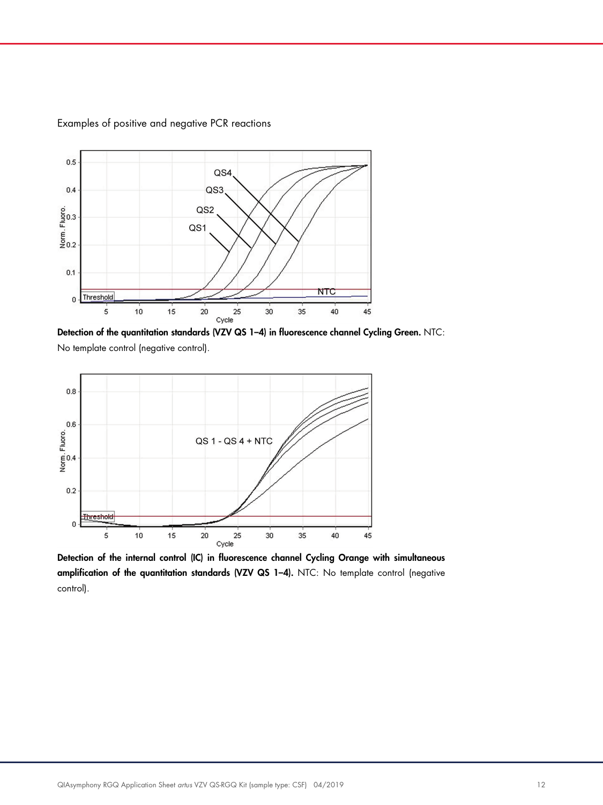

Examples of positive and negative PCR reactions

Detection of the quantitation standards (VZV QS 1-4) in fluorescence channel Cycling Green. NTC: No template control (negative control).



Detection of the internal control (IC) in fluorescence channel Cycling Orange with simultaneous amplification of the quantitation standards (VZV QS 1–4). NTC: No template control (negative control).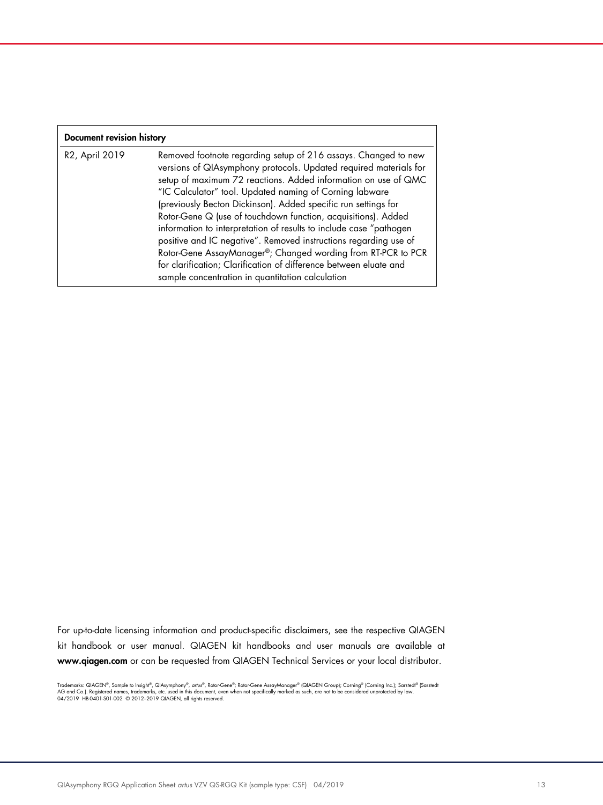| Document revision history |                                                                                                                                                                                                                                                                                                                                                                                                                                                                                                                                                                                                                                                                                                                                        |  |  |
|---------------------------|----------------------------------------------------------------------------------------------------------------------------------------------------------------------------------------------------------------------------------------------------------------------------------------------------------------------------------------------------------------------------------------------------------------------------------------------------------------------------------------------------------------------------------------------------------------------------------------------------------------------------------------------------------------------------------------------------------------------------------------|--|--|
| R2, April 2019            | Removed footnote regarding setup of 216 assays. Changed to new<br>versions of QIAsymphony protocols. Updated required materials for<br>setup of maximum 72 reactions. Added information on use of QMC<br>"IC Calculator" tool. Updated naming of Corning labware<br>(previously Becton Dickinson). Added specific run settings for<br>Rotor-Gene Q (use of touchdown function, acquisitions). Added<br>information to interpretation of results to include case "pathogen<br>positive and IC negative". Removed instructions regarding use of<br>Rotor-Gene AssayManager®; Changed wording from RT-PCR to PCR<br>for clarification; Clarification of difference between eluate and<br>sample concentration in quantitation calculation |  |  |

For up-to-date licensing information and product-specific disclaimers, see the respective QIAGEN kit handbook or user manual. QIAGEN kit handbooks and user manuals are available at www.qiagen.com or can be requested from QIAGEN Technical Services or your local distributor.

Trademarks: QIAGEN®, Sample to Insighi®, QIAsymphony®, *artus®,* Rotor-Gene AssayManager® (QIAGEN Group); Corning® (Corning Inc.); Sarstedt® (Sarstedt<br>AG and Co.). Registered names, trademarks, etc. used in this document,